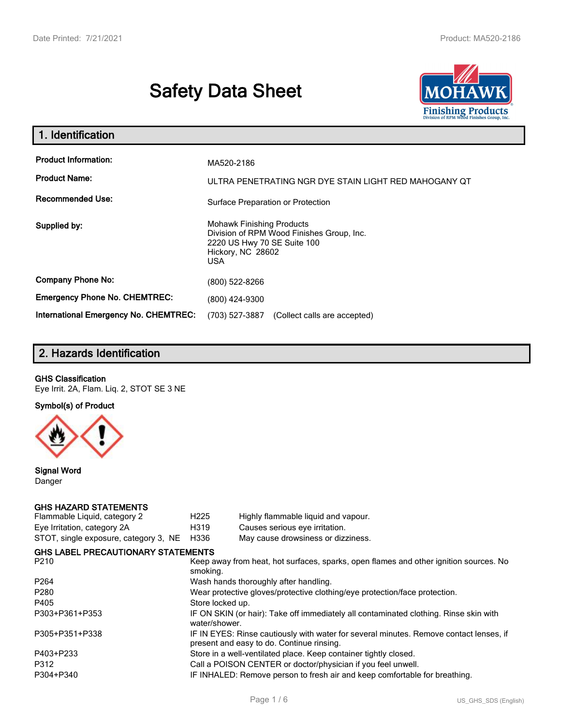# **Safety Data Sheet**



| 1. Identification                                                              |                                                                                                                                                                                      |
|--------------------------------------------------------------------------------|--------------------------------------------------------------------------------------------------------------------------------------------------------------------------------------|
| <b>Product Information:</b><br><b>Product Name:</b><br><b>Recommended Use:</b> | MA520-2186<br>ULTRA PENETRATING NGR DYE STAIN LIGHT RED MAHOGANY OT                                                                                                                  |
| Supplied by:                                                                   | Surface Preparation or Protection<br><b>Mohawk Finishing Products</b><br>Division of RPM Wood Finishes Group, Inc.<br>2220 US Hwy 70 SE Suite 100<br>Hickory, NC 28602<br><b>USA</b> |
| <b>Company Phone No:</b>                                                       | (800) 522-8266                                                                                                                                                                       |
| <b>Emergency Phone No. CHEMTREC:</b>                                           | (800) 424-9300                                                                                                                                                                       |
| <b>International Emergency No. CHEMTREC:</b>                                   | (703) 527-3887<br>(Collect calls are accepted)                                                                                                                                       |

# **2. Hazards Identification**

#### **GHS Classification**

Eye Irrit. 2A, Flam. Liq. 2, STOT SE 3 NE

**Symbol(s) of Product**



**Signal Word** Danger

#### **GHS HAZARD STATEMENTS**

| Flammable Liquid, category 2              | H <sub>225</sub>                                                                                                                    | Highly flammable liquid and vapour. |  |  |
|-------------------------------------------|-------------------------------------------------------------------------------------------------------------------------------------|-------------------------------------|--|--|
| Eye Irritation, category 2A               | H319                                                                                                                                | Causes serious eye irritation.      |  |  |
| STOT, single exposure, category 3, NE     | H336                                                                                                                                | May cause drowsiness or dizziness.  |  |  |
| <b>GHS LABEL PRECAUTIONARY STATEMENTS</b> |                                                                                                                                     |                                     |  |  |
| P <sub>210</sub>                          | Keep away from heat, hot surfaces, sparks, open flames and other ignition sources. No<br>smoking.                                   |                                     |  |  |
| P <sub>264</sub>                          | Wash hands thoroughly after handling.                                                                                               |                                     |  |  |
| P <sub>280</sub>                          | Wear protective gloves/protective clothing/eye protection/face protection.                                                          |                                     |  |  |
| P405                                      | Store locked up.                                                                                                                    |                                     |  |  |
| P303+P361+P353                            | IF ON SKIN (or hair): Take off immediately all contaminated clothing. Rinse skin with<br>water/shower.                              |                                     |  |  |
| P305+P351+P338                            | IF IN EYES: Rinse cautiously with water for several minutes. Remove contact lenses, if<br>present and easy to do. Continue rinsing. |                                     |  |  |
| P403+P233                                 | Store in a well-ventilated place. Keep container tightly closed.                                                                    |                                     |  |  |
| P312                                      | Call a POISON CENTER or doctor/physician if you feel unwell.                                                                        |                                     |  |  |
| P304+P340                                 | IF INHALED: Remove person to fresh air and keep comfortable for breathing.                                                          |                                     |  |  |
|                                           |                                                                                                                                     |                                     |  |  |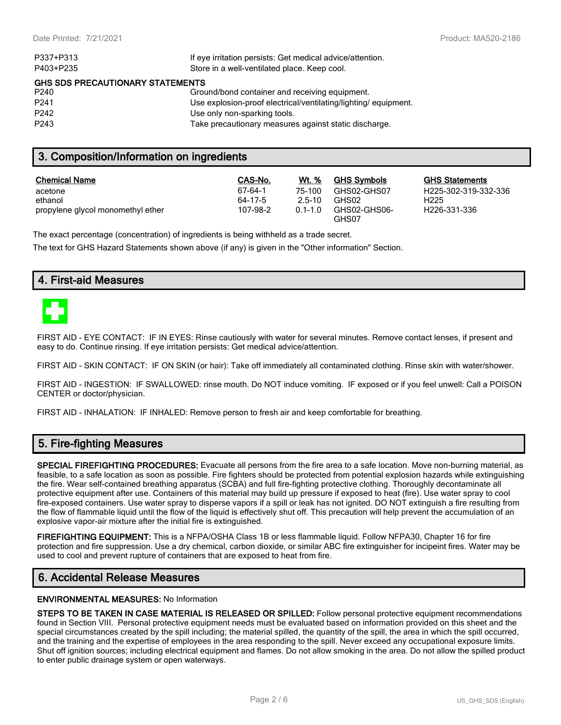| P337+P313                               | If eye irritation persists: Get medical advice/attention.       |  |  |  |
|-----------------------------------------|-----------------------------------------------------------------|--|--|--|
| P403+P235                               | Store in a well-ventilated place. Keep cool.                    |  |  |  |
| <b>GHS SDS PRECAUTIONARY STATEMENTS</b> |                                                                 |  |  |  |
| P <sub>240</sub>                        | Ground/bond container and receiving equipment.                  |  |  |  |
| P <sub>241</sub>                        | Use explosion-proof electrical/ventilating/lighting/ equipment. |  |  |  |
| P <sub>242</sub>                        | Use only non-sparking tools.                                    |  |  |  |
| P <sub>243</sub>                        | Take precautionary measures against static discharge.           |  |  |  |
|                                         |                                                                 |  |  |  |

# **3. Composition/Information on ingredients**

| <b>Chemical Name</b>              | CAS-No.  | Wt. %       | <b>GHS Symbols</b>    | GHS  |
|-----------------------------------|----------|-------------|-----------------------|------|
| acetone                           | 67-64-1  | 75-100      | GHS02-GHS07           | H225 |
| ethanol                           | 64-17-5  | $2.5 - 10$  | GHS02                 | H225 |
| propylene glycol monomethyl ether | 107-98-2 | $0.1 - 1.0$ | GHS02-GHS06-<br>GHS07 | H226 |

**GHS Statements** H225-302-319-332-336 H226-331-336

The exact percentage (concentration) of ingredients is being withheld as a trade secret.

The text for GHS Hazard Statements shown above (if any) is given in the "Other information" Section.

## **4. First-aid Measures**



FIRST AID - EYE CONTACT: IF IN EYES: Rinse cautiously with water for several minutes. Remove contact lenses, if present and easy to do. Continue rinsing. If eye irritation persists: Get medical advice/attention.

FIRST AID - SKIN CONTACT: IF ON SKIN (or hair): Take off immediately all contaminated clothing. Rinse skin with water/shower.

FIRST AID - INGESTION: IF SWALLOWED: rinse mouth. Do NOT induce vomiting. IF exposed or if you feel unwell: Call a POISON CENTER or doctor/physician.

FIRST AID - INHALATION: IF INHALED: Remove person to fresh air and keep comfortable for breathing.

# **5. Fire-fighting Measures**

**SPECIAL FIREFIGHTING PROCEDURES:** Evacuate all persons from the fire area to a safe location. Move non-burning material, as feasible, to a safe location as soon as possible. Fire fighters should be protected from potential explosion hazards while extinguishing the fire. Wear self-contained breathing apparatus (SCBA) and full fire-fighting protective clothing. Thoroughly decontaminate all protective equipment after use. Containers of this material may build up pressure if exposed to heat (fire). Use water spray to cool fire-exposed containers. Use water spray to disperse vapors if a spill or leak has not ignited. DO NOT extinguish a fire resulting from the flow of flammable liquid until the flow of the liquid is effectively shut off. This precaution will help prevent the accumulation of an explosive vapor-air mixture after the initial fire is extinguished.

**FIREFIGHTING EQUIPMENT:** This is a NFPA/OSHA Class 1B or less flammable liquid. Follow NFPA30, Chapter 16 for fire protection and fire suppression. Use a dry chemical, carbon dioxide, or similar ABC fire extinguisher for incipeint fires. Water may be used to cool and prevent rupture of containers that are exposed to heat from fire.

# **6. Accidental Release Measures**

#### **ENVIRONMENTAL MEASURES:** No Information

**STEPS TO BE TAKEN IN CASE MATERIAL IS RELEASED OR SPILLED:** Follow personal protective equipment recommendations found in Section VIII. Personal protective equipment needs must be evaluated based on information provided on this sheet and the special circumstances created by the spill including; the material spilled, the quantity of the spill, the area in which the spill occurred, and the training and the expertise of employees in the area responding to the spill. Never exceed any occupational exposure limits. Shut off ignition sources; including electrical equipment and flames. Do not allow smoking in the area. Do not allow the spilled product to enter public drainage system or open waterways.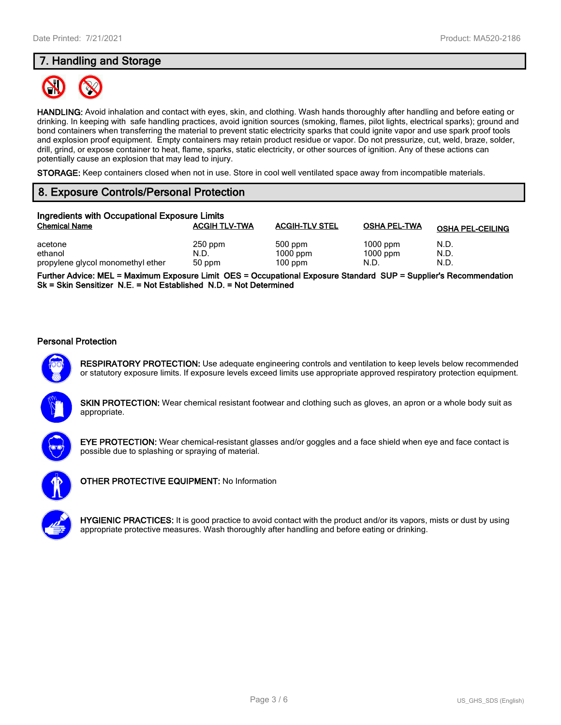# **7. Handling and Storage**



**HANDLING:** Avoid inhalation and contact with eyes, skin, and clothing. Wash hands thoroughly after handling and before eating or drinking. In keeping with safe handling practices, avoid ignition sources (smoking, flames, pilot lights, electrical sparks); ground and bond containers when transferring the material to prevent static electricity sparks that could ignite vapor and use spark proof tools and explosion proof equipment. Empty containers may retain product residue or vapor. Do not pressurize, cut, weld, braze, solder, drill, grind, or expose container to heat, flame, sparks, static electricity, or other sources of ignition. Any of these actions can potentially cause an explosion that may lead to injury.

**STORAGE:** Keep containers closed when not in use. Store in cool well ventilated space away from incompatible materials.

# **8. Exposure Controls/Personal Protection**

| Ingredients with Occupational Exposure Limits |                      |                         |                     |                         |  |
|-----------------------------------------------|----------------------|-------------------------|---------------------|-------------------------|--|
| <b>Chemical Name</b>                          | <b>ACGIH TLV-TWA</b> | <b>ACGIH-TLV STEL</b>   | <b>OSHA PEL-TWA</b> | <b>OSHA PEL-CEILING</b> |  |
| acetone                                       | $250$ ppm            | 500 ppm                 | $1000$ ppm          | N.D.                    |  |
| ethanol<br>propylene glycol monomethyl ether  | N.D.<br>50 ppm       | $1000$ ppm<br>$100$ ppm | $1000$ ppm<br>N.D.  | N.D.<br>N.D.            |  |

**Further Advice: MEL = Maximum Exposure Limit OES = Occupational Exposure Standard SUP = Supplier's Recommendation Sk = Skin Sensitizer N.E. = Not Established N.D. = Not Determined**

#### **Personal Protection**



**RESPIRATORY PROTECTION:** Use adequate engineering controls and ventilation to keep levels below recommended or statutory exposure limits. If exposure levels exceed limits use appropriate approved respiratory protection equipment.





**EYE PROTECTION:** Wear chemical-resistant glasses and/or goggles and a face shield when eye and face contact is possible due to splashing or spraying of material.



**OTHER PROTECTIVE EQUIPMENT:** No Information

**HYGIENIC PRACTICES:** It is good practice to avoid contact with the product and/or its vapors, mists or dust by using appropriate protective measures. Wash thoroughly after handling and before eating or drinking.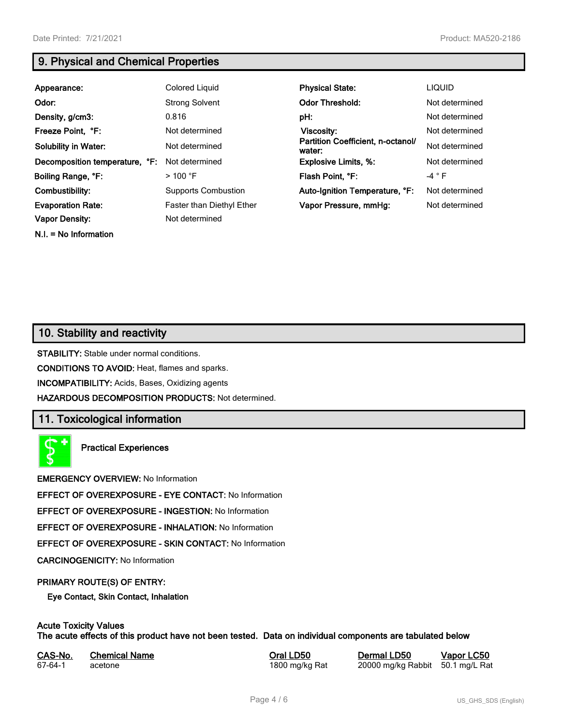**N.I. = No Information**

# **9. Physical and Chemical Properties**

| Appearance:                    | Colored Liquid                   | <b>Physical State:</b>                      | <b>LIQUID</b>  |
|--------------------------------|----------------------------------|---------------------------------------------|----------------|
| Odor:                          | <b>Strong Solvent</b>            | <b>Odor Threshold:</b>                      | Not determined |
| Density, g/cm3:                | 0.816                            | pH:                                         | Not determined |
| Freeze Point, °F:              | Not determined                   | Viscosity:                                  | Not determined |
| <b>Solubility in Water:</b>    | Not determined                   | Partition Coefficient, n-octanol/<br>water: | Not determined |
| Decomposition temperature, °F: | Not determined                   | <b>Explosive Limits, %:</b>                 | Not determined |
| Boiling Range, °F:             | $>$ 100 °F                       | Flash Point, °F:                            | $-4$ $\circ$ F |
| Combustibility:                | <b>Supports Combustion</b>       | Auto-Ignition Temperature, °F:              | Not determined |
| <b>Evaporation Rate:</b>       | <b>Faster than Diethyl Ether</b> | Vapor Pressure, mmHg:                       | Not determined |
| <b>Vapor Density:</b>          | Not determined                   |                                             |                |

# **10. Stability and reactivity**

**STABILITY:** Stable under normal conditions.

**CONDITIONS TO AVOID:** Heat, flames and sparks.

**INCOMPATIBILITY:** Acids, Bases, Oxidizing agents

**HAZARDOUS DECOMPOSITION PRODUCTS:** Not determined.

# **11. Toxicological information**

**Practical Experiences**

**EMERGENCY OVERVIEW:** No Information

**EFFECT OF OVEREXPOSURE - EYE CONTACT:** No Information

**EFFECT OF OVEREXPOSURE - INGESTION:** No Information

**EFFECT OF OVEREXPOSURE - INHALATION:** No Information

**EFFECT OF OVEREXPOSURE - SKIN CONTACT:** No Information

**CARCINOGENICITY:** No Information

#### **PRIMARY ROUTE(S) OF ENTRY:**

**Eye Contact, Skin Contact, Inhalation**

# **Acute Toxicity Values**

**The acute effects of this product have not been tested. Data on individual components are tabulated below**

| CAS-No. | <b>Chemical Name</b> |
|---------|----------------------|
| 67-64-1 | acetone              |

**Casary Chemical Chemical LD50 Chemical LD50 Vapor LC50** 1800 mg/kg Rat 20000 mg/kg Rabbit 50.1 mg/L Rat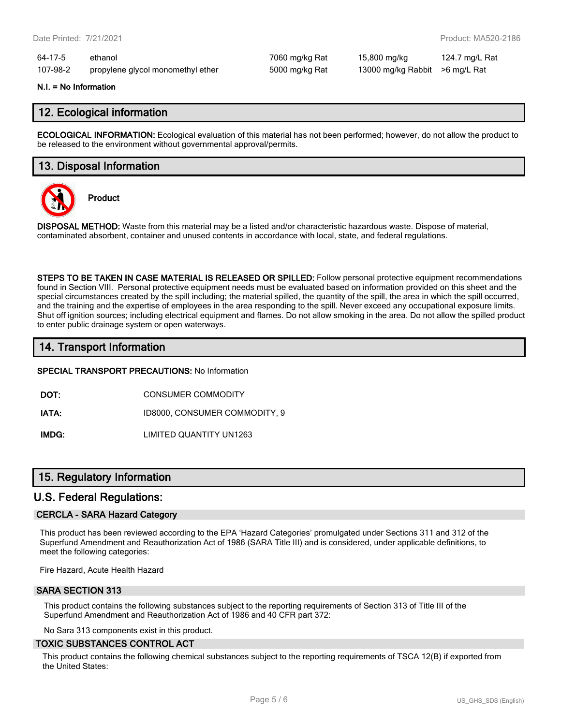64-17-5 ethanol 7060 mg/kg Rat 15,800 mg/kg 124.7 mg/L Rat 107-98-2 propylene glycol monomethyl ether 5000 mg/kg Rat 13000 mg/kg Rabbit >6 mg/L Rat

#### **N.I. = No Information**

## **12. Ecological information**

**ECOLOGICAL INFORMATION:** Ecological evaluation of this material has not been performed; however, do not allow the product to be released to the environment without governmental approval/permits.

## **13. Disposal Information**



**Product**

**DISPOSAL METHOD:** Waste from this material may be a listed and/or characteristic hazardous waste. Dispose of material, contaminated absorbent, container and unused contents in accordance with local, state, and federal regulations.

**STEPS TO BE TAKEN IN CASE MATERIAL IS RELEASED OR SPILLED:** Follow personal protective equipment recommendations found in Section VIII. Personal protective equipment needs must be evaluated based on information provided on this sheet and the special circumstances created by the spill including; the material spilled, the quantity of the spill, the area in which the spill occurred, and the training and the expertise of employees in the area responding to the spill. Never exceed any occupational exposure limits. Shut off ignition sources; including electrical equipment and flames. Do not allow smoking in the area. Do not allow the spilled product to enter public drainage system or open waterways.

# **14. Transport Information**

**SPECIAL TRANSPORT PRECAUTIONS:** No Information

**DOT:** CONSUMER COMMODITY

**IATA:** ID8000, CONSUMER COMMODITY, 9

**IMDG:** LIMITED QUANTITY UN1263

# **15. Regulatory Information**

### **U.S. Federal Regulations:**

#### **CERCLA - SARA Hazard Category**

This product has been reviewed according to the EPA 'Hazard Categories' promulgated under Sections 311 and 312 of the Superfund Amendment and Reauthorization Act of 1986 (SARA Title III) and is considered, under applicable definitions, to meet the following categories:

Fire Hazard, Acute Health Hazard

#### **SARA SECTION 313**

This product contains the following substances subject to the reporting requirements of Section 313 of Title III of the Superfund Amendment and Reauthorization Act of 1986 and 40 CFR part 372:

No Sara 313 components exist in this product.

#### **TOXIC SUBSTANCES CONTROL ACT**

This product contains the following chemical substances subject to the reporting requirements of TSCA 12(B) if exported from the United States: